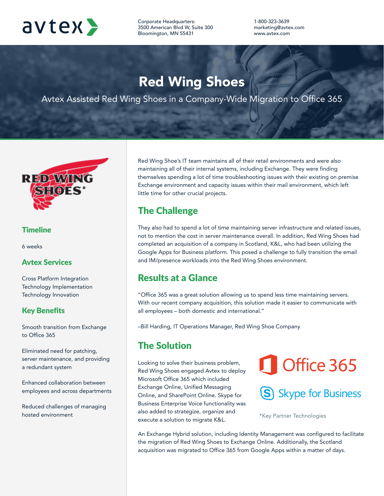

Corporate Headquarters: 3500 American Blvd W, Suite 300 Bloomington, MN 55431

1-800-323-3639 marketing@avtex.com www.avtex.com

# Red Wing Shoes

Avtex Assisted Red Wing Shoes in a Company-Wide Migration to Office 365



#### **Timeline**

6 weeks

#### Avtex Services

Cross Platform Integration Technology Implementation Technology Innovation

#### Key Benefits

Smooth transition from Exchange to Office 365

Eliminated need for patching, server maintenance, and providing a redundant system

Enhanced collaboration between employees and across departments

Reduced challenges of managing hosted environment

Red Wing Shoe's IT team maintains all of their retail environments and were also maintaining all of their internal systems, including Exchange. They were finding themselves spending a lot of time troubleshooting issues with their existing on premise Exchange environment and capacity issues within their mail environment, which left little time for other crucial projects.

#### The Challenge

They also had to spend a lot of time maintaining server infrastructure and related issues, not to mention the cost in server maintenance overall. In addition, Red Wing Shoes had completed an acquisition of a company in Scotland, K&L, who had been utilizing the Google Apps for Business platform. This posed a challenge to fully transition the email and IM/presence workloads into the Red Wing Shoes environment.

#### Results at a Glance

"Office 365 was a great solution allowing us to spend less time maintaining servers. With our recent company acquisition, this solution made it easier to communicate with all employees – both domestic and international."

–Bill Harding, IT Operations Manager, Red Wing Shoe Company

## The Solution

Looking to solve their business problem, Red Wing Shoes engaged Avtex to deploy Microsoft Office 365 which included Exchange Online, Unified Messaging Online, and SharePoint Online. Skype for Business Enterprise Voice functionality was also added to strategize, organize and execute a solution to migrate K&L.

# Office 365

# S Skype for Business

\*Key Partner Technologies

An Exchange Hybrid solution, including Identity Management was configured to facilitate the migration of Red Wing Shoes to Exchange Online. Additionally, the Scotland acquisition was migrated to Office 365 from Google Apps within a matter of days.